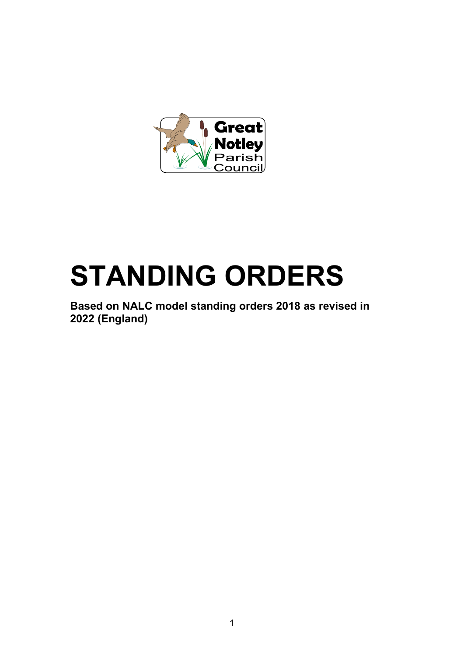

# **STANDING ORDERS**

**Based on NALC model standing orders 2018 as revised in 2022 (England)**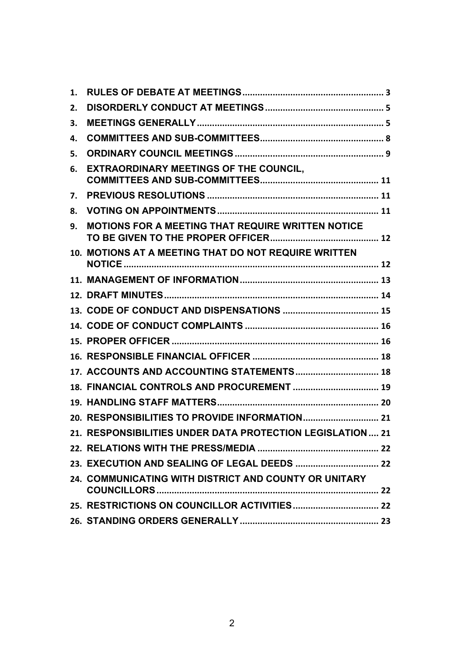| 1. |                                                            |  |
|----|------------------------------------------------------------|--|
| 2. |                                                            |  |
| 3. |                                                            |  |
| 4. |                                                            |  |
| 5. |                                                            |  |
| 6. | <b>EXTRAORDINARY MEETINGS OF THE COUNCIL,</b>              |  |
| 7. |                                                            |  |
| 8. |                                                            |  |
| 9. | MOTIONS FOR A MEETING THAT REQUIRE WRITTEN NOTICE          |  |
|    | 10. MOTIONS AT A MEETING THAT DO NOT REQUIRE WRITTEN       |  |
|    |                                                            |  |
|    |                                                            |  |
|    |                                                            |  |
|    |                                                            |  |
|    |                                                            |  |
|    |                                                            |  |
|    | 17. ACCOUNTS AND ACCOUNTING STATEMENTS 18                  |  |
|    | 18. FINANCIAL CONTROLS AND PROCUREMENT  19                 |  |
|    |                                                            |  |
|    |                                                            |  |
|    | 21. RESPONSIBILITIES UNDER DATA PROTECTION LEGISLATION  21 |  |
|    |                                                            |  |
|    |                                                            |  |
|    | 24. COMMUNICATING WITH DISTRICT AND COUNTY OR UNITARY      |  |
|    |                                                            |  |
|    |                                                            |  |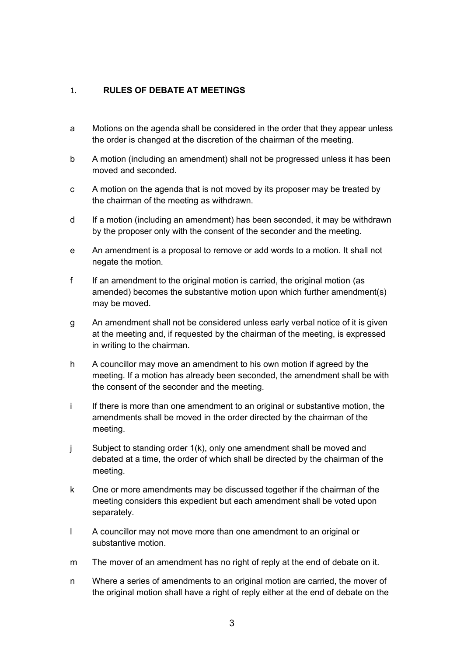## <span id="page-2-0"></span>1. **RULES OF DEBATE AT MEETINGS**

- a Motions on the agenda shall be considered in the order that they appear unless the order is changed at the discretion of the chairman of the meeting.
- b A motion (including an amendment) shall not be progressed unless it has been moved and seconded.
- c A motion on the agenda that is not moved by its proposer may be treated by the chairman of the meeting as withdrawn.
- d If a motion (including an amendment) has been seconded, it may be withdrawn by the proposer only with the consent of the seconder and the meeting.
- e An amendment is a proposal to remove or add words to a motion. It shall not negate the motion.
- f If an amendment to the original motion is carried, the original motion (as amended) becomes the substantive motion upon which further amendment(s) may be moved.
- g An amendment shall not be considered unless early verbal notice of it is given at the meeting and, if requested by the chairman of the meeting, is expressed in writing to the chairman.
- h A councillor may move an amendment to his own motion if agreed by the meeting. If a motion has already been seconded, the amendment shall be with the consent of the seconder and the meeting.
- i If there is more than one amendment to an original or substantive motion, the amendments shall be moved in the order directed by the chairman of the meeting.
- j Subject to standing order 1(k), only one amendment shall be moved and debated at a time, the order of which shall be directed by the chairman of the meeting.
- k One or more amendments may be discussed together if the chairman of the meeting considers this expedient but each amendment shall be voted upon separately.
- l A councillor may not move more than one amendment to an original or substantive motion.
- m The mover of an amendment has no right of reply at the end of debate on it.
- n Where a series of amendments to an original motion are carried, the mover of the original motion shall have a right of reply either at the end of debate on the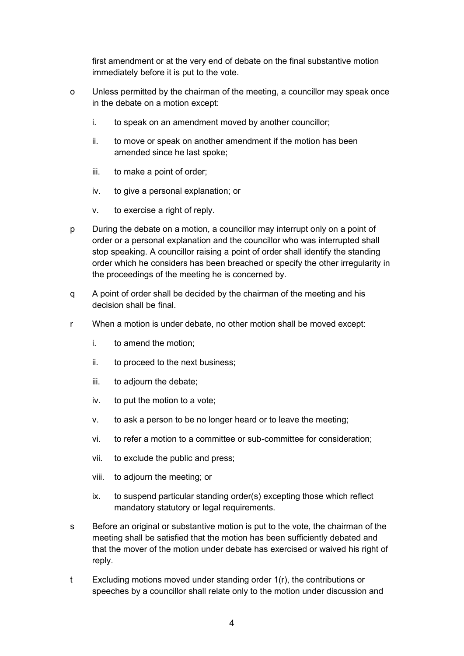first amendment or at the very end of debate on the final substantive motion immediately before it is put to the vote.

- o Unless permitted by the chairman of the meeting, a councillor may speak once in the debate on a motion except:
	- i. to speak on an amendment moved by another councillor;
	- ii. to move or speak on another amendment if the motion has been amended since he last spoke;
	- iii. to make a point of order;
	- iv. to give a personal explanation; or
	- v. to exercise a right of reply.
- p During the debate on a motion, a councillor may interrupt only on a point of order or a personal explanation and the councillor who was interrupted shall stop speaking. A councillor raising a point of order shall identify the standing order which he considers has been breached or specify the other irregularity in the proceedings of the meeting he is concerned by.
- q A point of order shall be decided by the chairman of the meeting and his decision shall be final.
- r When a motion is under debate, no other motion shall be moved except:
	- i. to amend the motion;
	- ii. to proceed to the next business;
	- iii. to adjourn the debate;
	- iv. to put the motion to a vote;
	- v. to ask a person to be no longer heard or to leave the meeting;
	- vi. to refer a motion to a committee or sub-committee for consideration;
	- vii. to exclude the public and press;
	- viii. to adjourn the meeting; or
	- ix. to suspend particular standing order(s) excepting those which reflect mandatory statutory or legal requirements.
- s Before an original or substantive motion is put to the vote, the chairman of the meeting shall be satisfied that the motion has been sufficiently debated and that the mover of the motion under debate has exercised or waived his right of reply.
- t Excluding motions moved under standing order 1(r), the contributions or speeches by a councillor shall relate only to the motion under discussion and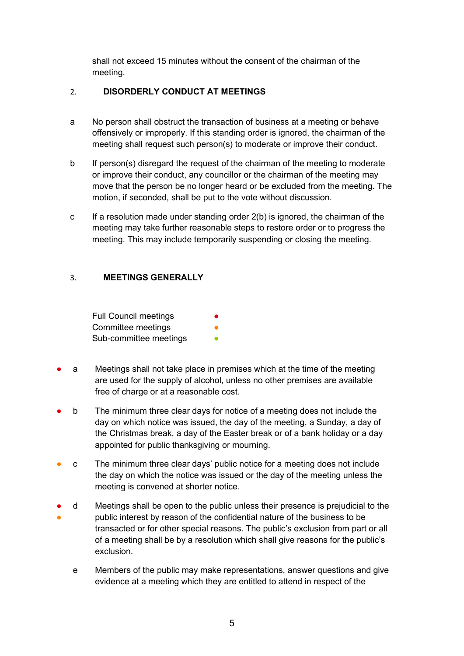shall not exceed 15 minutes without the consent of the chairman of the meeting.

# <span id="page-4-0"></span>2. **DISORDERLY CONDUCT AT MEETINGS**

- a No person shall obstruct the transaction of business at a meeting or behave offensively or improperly. If this standing order is ignored, the chairman of the meeting shall request such person(s) to moderate or improve their conduct.
- b If person(s) disregard the request of the chairman of the meeting to moderate or improve their conduct, any councillor or the chairman of the meeting may move that the person be no longer heard or be excluded from the meeting. The motion, if seconded, shall be put to the vote without discussion.
- c If a resolution made under standing order 2(b) is ignored, the chairman of the meeting may take further reasonable steps to restore order or to progress the meeting. This may include temporarily suspending or closing the meeting.

# <span id="page-4-1"></span>3. **MEETINGS GENERALLY**

| <b>Full Council meetings</b> | ● |
|------------------------------|---|
| Committee meetings           |   |
| Sub-committee meetings       |   |

- a Meetings shall not take place in premises which at the time of the meeting are used for the supply of alcohol, unless no other premises are available free of charge or at a reasonable cost.
- b The minimum three clear days for notice of a meeting does not include the day on which notice was issued, the day of the meeting, a Sunday, a day of the Christmas break, a day of the Easter break or of a bank holiday or a day appointed for public thanksgiving or mourning.
- c The minimum three clear days' public notice for a meeting does not include the day on which the notice was issued or the day of the meeting unless the meeting is convened at shorter notice.
- ● d Meetings shall be open to the public unless their presence is prejudicial to the public interest by reason of the confidential nature of the business to be transacted or for other special reasons. The public's exclusion from part or all of a meeting shall be by a resolution which shall give reasons for the public's exclusion.
	- e Members of the public may make representations, answer questions and give evidence at a meeting which they are entitled to attend in respect of the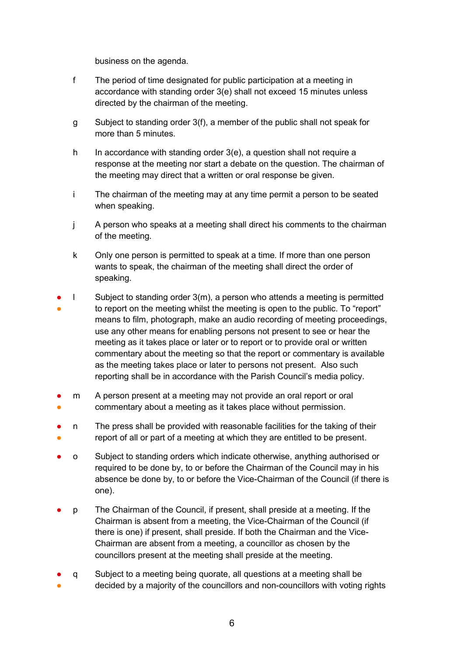business on the agenda.

- f The period of time designated for public participation at a meeting in accordance with standing order 3(e) shall not exceed 15 minutes unless directed by the chairman of the meeting.
- g Subject to standing order 3(f), a member of the public shall not speak for more than 5 minutes.
- h In accordance with standing order 3(e), a question shall not require a response at the meeting nor start a debate on the question. The chairman of the meeting may direct that a written or oral response be given.
- i The chairman of the meeting may at any time permit a person to be seated when speaking.
- j A person who speaks at a meeting shall direct his comments to the chairman of the meeting.
- k Only one person is permitted to speak at a time. If more than one person wants to speak, the chairman of the meeting shall direct the order of speaking.
- ● l Subject to standing order 3(m), a person who attends a meeting is permitted to report on the meeting whilst the meeting is open to the public. To "report" means to film, photograph, make an audio recording of meeting proceedings, use any other means for enabling persons not present to see or hear the meeting as it takes place or later or to report or to provide oral or written commentary about the meeting so that the report or commentary is available as the meeting takes place or later to persons not present. Also such reporting shall be in accordance with the Parish Council's media policy.
- ● m A person present at a meeting may not provide an oral report or oral commentary about a meeting as it takes place without permission.
- ● n The press shall be provided with reasonable facilities for the taking of their report of all or part of a meeting at which they are entitled to be present.
- o Subject to standing orders which indicate otherwise, anything authorised or required to be done by, to or before the Chairman of the Council may in his absence be done by, to or before the Vice-Chairman of the Council (if there is one).
- p The Chairman of the Council, if present, shall preside at a meeting. If the Chairman is absent from a meeting, the Vice-Chairman of the Council (if there is one) if present, shall preside. If both the Chairman and the Vice-Chairman are absent from a meeting, a councillor as chosen by the councillors present at the meeting shall preside at the meeting.
- q Subject to a meeting being quorate, all questions at a meeting shall be
- decided by a majority of the councillors and non-councillors with voting rights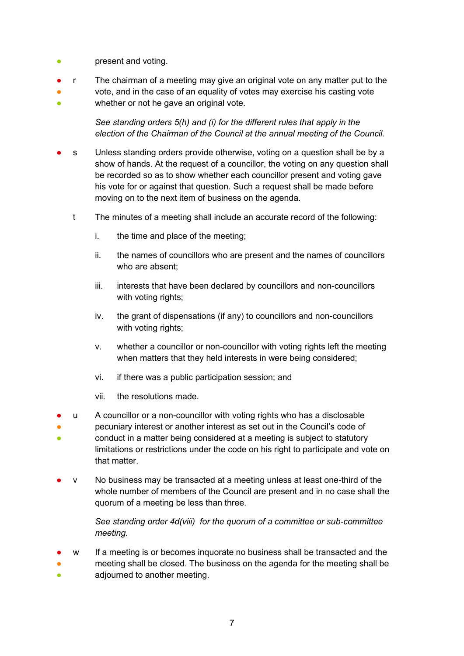- present and voting.
- r The chairman of a meeting may give an original vote on any matter put to the
- ● vote, and in the case of an equality of votes may exercise his casting vote whether or not he gave an original vote.

*See standing orders 5(h) and (i) for the different rules that apply in the election of the Chairman of the Council at the annual meeting of the Council.*

- s Unless standing orders provide otherwise, voting on a question shall be by a show of hands. At the request of a councillor, the voting on any question shall be recorded so as to show whether each councillor present and voting gave his vote for or against that question. Such a request shall be made before moving on to the next item of business on the agenda.
	- t The minutes of a meeting shall include an accurate record of the following:
		- i. the time and place of the meeting;
		- ii. the names of councillors who are present and the names of councillors who are absent;
		- iii. interests that have been declared by councillors and non-councillors with voting rights;
		- iv. the grant of dispensations (if any) to councillors and non-councillors with voting rights;
		- v. whether a councillor or non-councillor with voting rights left the meeting when matters that they held interests in were being considered;
		- vi. if there was a public participation session; and
		- vii. the resolutions made.
- u A councillor or a non-councillor with voting rights who has a disclosable
- 。<br>一 pecuniary interest or another interest as set out in the Council's code of conduct in a matter being considered at a meeting is subject to statutory limitations or restrictions under the code on his right to participate and vote on that matter.
- v No business may be transacted at a meeting unless at least one-third of the whole number of members of the Council are present and in no case shall the quorum of a meeting be less than three.

*See standing order 4d(viii) for the quorum of a committee or sub-committee meeting.* 

- w If a meeting is or becomes inquorate no business shall be transacted and the
- ● meeting shall be closed. The business on the agenda for the meeting shall be adjourned to another meeting.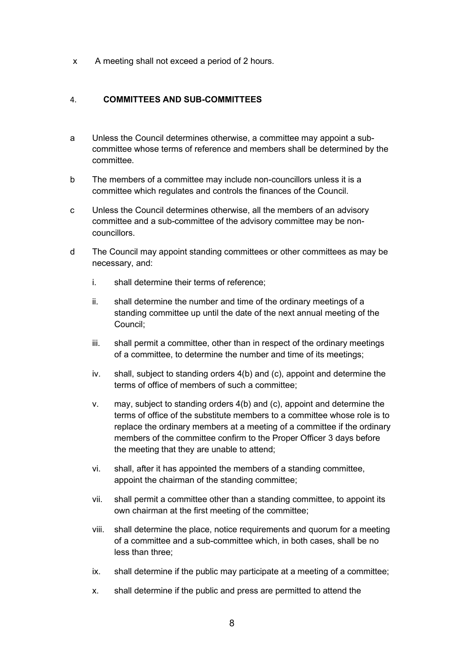x A meeting shall not exceed a period of 2 hours.

## <span id="page-7-0"></span>4. **COMMITTEES AND SUB-COMMITTEES**

- a Unless the Council determines otherwise, a committee may appoint a subcommittee whose terms of reference and members shall be determined by the committee.
- b The members of a committee may include non-councillors unless it is a committee which regulates and controls the finances of the Council.
- c Unless the Council determines otherwise, all the members of an advisory committee and a sub-committee of the advisory committee may be noncouncillors.
- d The Council may appoint standing committees or other committees as may be necessary, and:
	- i. shall determine their terms of reference;
	- ii. shall determine the number and time of the ordinary meetings of a standing committee up until the date of the next annual meeting of the Council;
	- iii. shall permit a committee, other than in respect of the ordinary meetings of a committee, to determine the number and time of its meetings;
	- iv. shall, subject to standing orders 4(b) and (c), appoint and determine the terms of office of members of such a committee;
	- v. may, subject to standing orders 4(b) and (c), appoint and determine the terms of office of the substitute members to a committee whose role is to replace the ordinary members at a meeting of a committee if the ordinary members of the committee confirm to the Proper Officer 3 days before the meeting that they are unable to attend;
	- vi. shall, after it has appointed the members of a standing committee, appoint the chairman of the standing committee;
	- vii. shall permit a committee other than a standing committee, to appoint its own chairman at the first meeting of the committee;
	- viii. shall determine the place, notice requirements and quorum for a meeting of a committee and a sub-committee which, in both cases, shall be no less than three;
	- ix. shall determine if the public may participate at a meeting of a committee;
	- x. shall determine if the public and press are permitted to attend the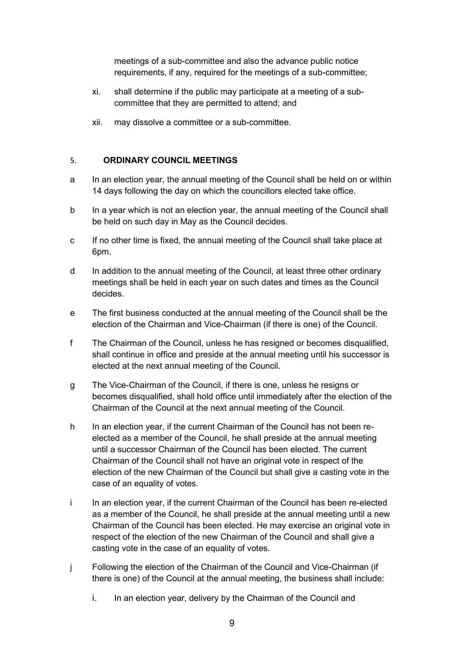meetings of a sub-committee and also the advance public notice requirements, if any, required for the meetings of a sub-committee;

- xi. shall determine if the public may participate at a meeting of a subcommittee that they are permitted to attend; and
- xii. may dissolve a committee or a sub-committee.

## <span id="page-8-0"></span>5. **ORDINARY COUNCIL MEETINGS**

- a In an election year, the annual meeting of the Council shall be held on or within 14 days following the day on which the councillors elected take office.
- b In a year which is not an election year, the annual meeting of the Council shall be held on such day in May as the Council decides.
- c If no other time is fixed, the annual meeting of the Council shall take place at 6pm.
- d In addition to the annual meeting of the Council, at least three other ordinary meetings shall be held in each year on such dates and times as the Council decides.
- e The first business conducted at the annual meeting of the Council shall be the election of the Chairman and Vice-Chairman (if there is one) of the Council.
- f The Chairman of the Council, unless he has resigned or becomes disqualified, shall continue in office and preside at the annual meeting until his successor is elected at the next annual meeting of the Council.
- g The Vice-Chairman of the Council, if there is one, unless he resigns or becomes disqualified, shall hold office until immediately after the election of the Chairman of the Council at the next annual meeting of the Council.
- h In an election year, if the current Chairman of the Council has not been reelected as a member of the Council, he shall preside at the annual meeting until a successor Chairman of the Council has been elected. The current Chairman of the Council shall not have an original vote in respect of the election of the new Chairman of the Council but shall give a casting vote in the case of an equality of votes.
- i In an election year, if the current Chairman of the Council has been re-elected as a member of the Council, he shall preside at the annual meeting until a new Chairman of the Council has been elected. He may exercise an original vote in respect of the election of the new Chairman of the Council and shall give a casting vote in the case of an equality of votes.
- j Following the election of the Chairman of the Council and Vice-Chairman (if there is one) of the Council at the annual meeting, the business shall include:
	- i. In an election year, delivery by the Chairman of the Council and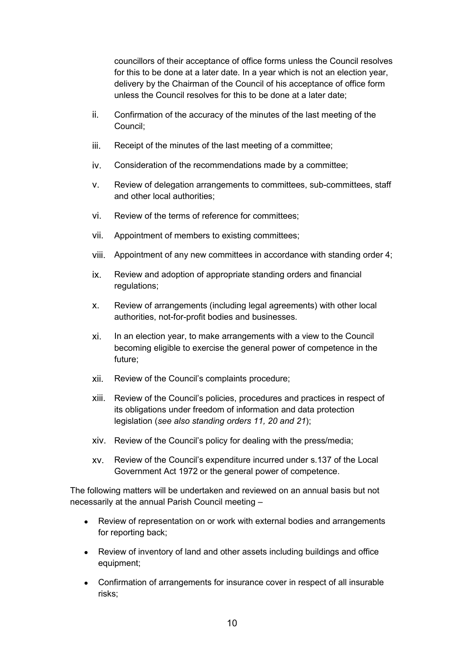councillors of their acceptance of office forms unless the Council resolves for this to be done at a later date. In a year which is not an election year, delivery by the Chairman of the Council of his acceptance of office form unless the Council resolves for this to be done at a later date;

- ii. Confirmation of the accuracy of the minutes of the last meeting of the Council;
- iii. Receipt of the minutes of the last meeting of a committee;
- iv. Consideration of the recommendations made by a committee;
- v. Review of delegation arrangements to committees, sub-committees, staff and other local authorities;
- vi. Review of the terms of reference for committees;
- vii. Appointment of members to existing committees;
- viii. Appointment of any new committees in accordance with standing order 4;
- ix. Review and adoption of appropriate standing orders and financial regulations;
- x. Review of arrangements (including legal agreements) with other local authorities, not-for-profit bodies and businesses.
- xi. In an election year, to make arrangements with a view to the Council becoming eligible to exercise the general power of competence in the future;
- xii. Review of the Council's complaints procedure;
- xiii. Review of the Council's policies, procedures and practices in respect of its obligations under freedom of information and data protection legislation (*see also standing orders 11, 20 and 21*);
- xiv. Review of the Council's policy for dealing with the press/media;
- xv. Review of the Council's expenditure incurred under s.137 of the Local Government Act 1972 or the general power of competence.

The following matters will be undertaken and reviewed on an annual basis but not necessarily at the annual Parish Council meeting –

- Review of representation on or work with external bodies and arrangements for reporting back;
- Review of inventory of land and other assets including buildings and office equipment;
- Confirmation of arrangements for insurance cover in respect of all insurable risks;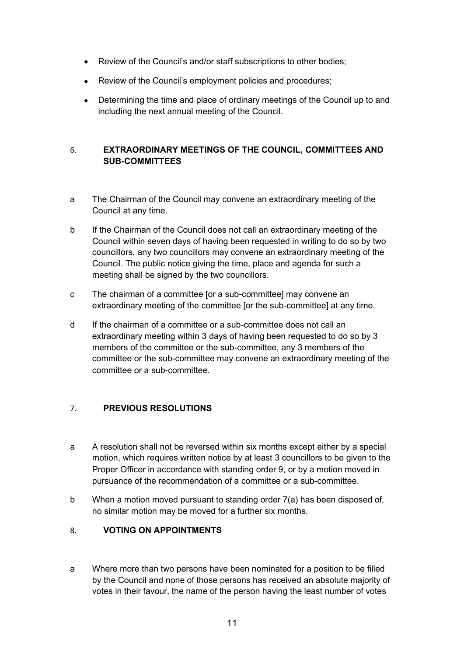- Review of the Council's and/or staff subscriptions to other bodies;
- Review of the Council's employment policies and procedures;
- Determining the time and place of ordinary meetings of the Council up to and including the next annual meeting of the Council.

# <span id="page-10-0"></span>6. **EXTRAORDINARY MEETINGS OF THE COUNCIL, COMMITTEES AND SUB-COMMITTEES**

- a The Chairman of the Council may convene an extraordinary meeting of the Council at any time.
- b If the Chairman of the Council does not call an extraordinary meeting of the Council within seven days of having been requested in writing to do so by two councillors, any two councillors may convene an extraordinary meeting of the Council. The public notice giving the time, place and agenda for such a meeting shall be signed by the two councillors.
- c The chairman of a committee [or a sub-committee] may convene an extraordinary meeting of the committee [or the sub-committee] at any time.
- d If the chairman of a committee or a sub-committee does not call an extraordinary meeting within 3 days of having been requested to do so by 3 members of the committee or the sub-committee, any 3 members of the committee or the sub-committee may convene an extraordinary meeting of the committee or a sub-committee.

# <span id="page-10-1"></span>7. **PREVIOUS RESOLUTIONS**

- a A resolution shall not be reversed within six months except either by a special motion, which requires written notice by at least 3 councillors to be given to the Proper Officer in accordance with standing order 9, or by a motion moved in pursuance of the recommendation of a committee or a sub-committee.
- b When a motion moved pursuant to standing order 7(a) has been disposed of, no similar motion may be moved for a further six months.

# <span id="page-10-2"></span>8. **VOTING ON APPOINTMENTS**

a Where more than two persons have been nominated for a position to be filled by the Council and none of those persons has received an absolute majority of votes in their favour, the name of the person having the least number of votes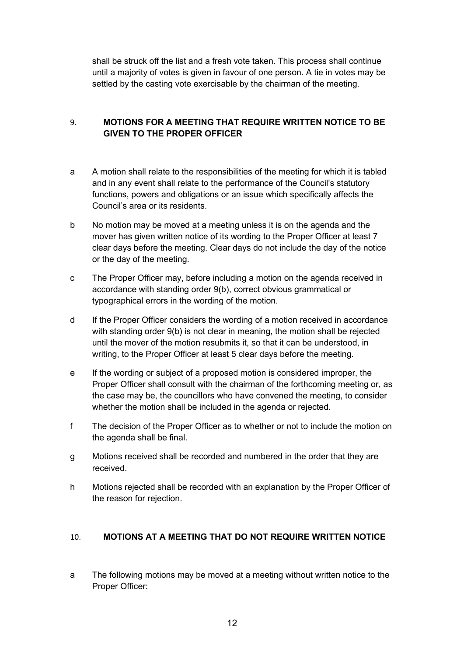shall be struck off the list and a fresh vote taken. This process shall continue until a majority of votes is given in favour of one person. A tie in votes may be settled by the casting vote exercisable by the chairman of the meeting.

# <span id="page-11-0"></span>9. **MOTIONS FOR A MEETING THAT REQUIRE WRITTEN NOTICE TO BE GIVEN TO THE PROPER OFFICER**

- a A motion shall relate to the responsibilities of the meeting for which it is tabled and in any event shall relate to the performance of the Council's statutory functions, powers and obligations or an issue which specifically affects the Council's area or its residents.
- b No motion may be moved at a meeting unless it is on the agenda and the mover has given written notice of its wording to the Proper Officer at least 7 clear days before the meeting. Clear days do not include the day of the notice or the day of the meeting.
- c The Proper Officer may, before including a motion on the agenda received in accordance with standing order 9(b), correct obvious grammatical or typographical errors in the wording of the motion.
- d If the Proper Officer considers the wording of a motion received in accordance with standing order 9(b) is not clear in meaning, the motion shall be rejected until the mover of the motion resubmits it, so that it can be understood, in writing, to the Proper Officer at least 5 clear days before the meeting.
- e If the wording or subject of a proposed motion is considered improper, the Proper Officer shall consult with the chairman of the forthcoming meeting or, as the case may be, the councillors who have convened the meeting, to consider whether the motion shall be included in the agenda or rejected.
- f The decision of the Proper Officer as to whether or not to include the motion on the agenda shall be final.
- g Motions received shall be recorded and numbered in the order that they are received.
- h Motions rejected shall be recorded with an explanation by the Proper Officer of the reason for rejection.

# <span id="page-11-1"></span>10. **MOTIONS AT A MEETING THAT DO NOT REQUIRE WRITTEN NOTICE**

a The following motions may be moved at a meeting without written notice to the Proper Officer: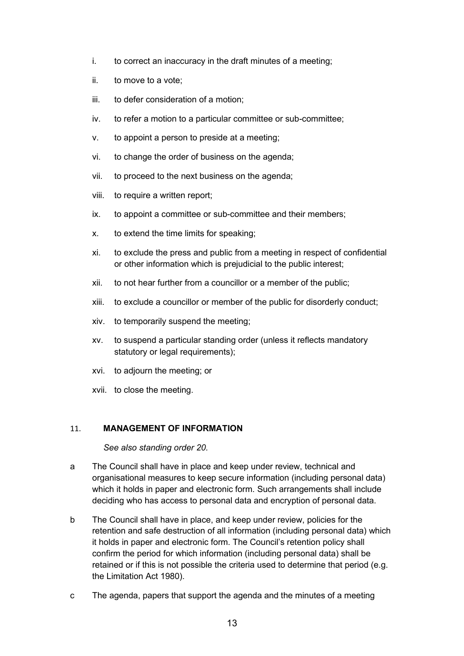- i. to correct an inaccuracy in the draft minutes of a meeting;
- ii. to move to a vote;
- iii. to defer consideration of a motion;
- iv. to refer a motion to a particular committee or sub-committee;
- v. to appoint a person to preside at a meeting;
- vi. to change the order of business on the agenda;
- vii. to proceed to the next business on the agenda;
- viii. to require a written report;
- ix. to appoint a committee or sub-committee and their members;
- x. to extend the time limits for speaking;
- xi. to exclude the press and public from a meeting in respect of confidential or other information which is prejudicial to the public interest;
- xii. to not hear further from a councillor or a member of the public;
- xiii. to exclude a councillor or member of the public for disorderly conduct;
- xiv. to temporarily suspend the meeting;
- xv. to suspend a particular standing order (unless it reflects mandatory statutory or legal requirements);
- xvi. to adjourn the meeting; or
- xvii. to close the meeting.

#### <span id="page-12-0"></span>11. **MANAGEMENT OF INFORMATION**

*See also standing order 20.*

- a The Council shall have in place and keep under review, technical and organisational measures to keep secure information (including personal data) which it holds in paper and electronic form. Such arrangements shall include deciding who has access to personal data and encryption of personal data.
- b The Council shall have in place, and keep under review, policies for the retention and safe destruction of all information (including personal data) which it holds in paper and electronic form. The Council's retention policy shall confirm the period for which information (including personal data) shall be retained or if this is not possible the criteria used to determine that period (e.g. the Limitation Act 1980).
- c The agenda, papers that support the agenda and the minutes of a meeting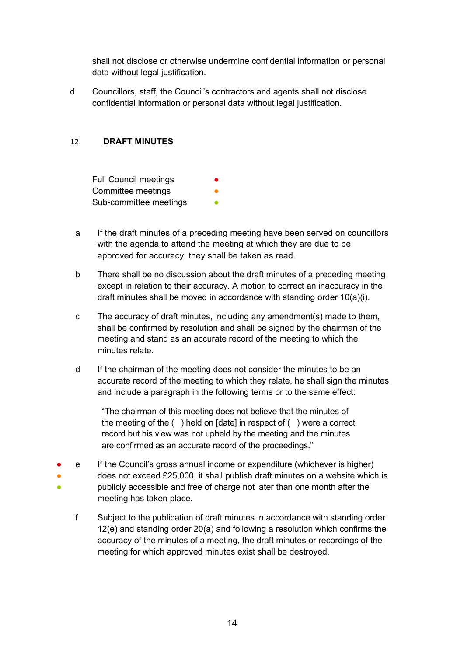shall not disclose or otherwise undermine confidential information or personal data without legal justification.

d Councillors, staff, the Council's contractors and agents shall not disclose confidential information or personal data without legal justification.

## <span id="page-13-0"></span>12. **DRAFT MINUTES**

Full Council meetings Committee meetings Sub-committee meetings

- a If the draft minutes of a preceding meeting have been served on councillors with the agenda to attend the meeting at which they are due to be approved for accuracy, they shall be taken as read.
- b There shall be no discussion about the draft minutes of a preceding meeting except in relation to their accuracy. A motion to correct an inaccuracy in the draft minutes shall be moved in accordance with standing order 10(a)(i).
- c The accuracy of draft minutes, including any amendment(s) made to them, shall be confirmed by resolution and shall be signed by the chairman of the meeting and stand as an accurate record of the meeting to which the minutes relate.
- d If the chairman of the meeting does not consider the minutes to be an accurate record of the meeting to which they relate, he shall sign the minutes and include a paragraph in the following terms or to the same effect:

"The chairman of this meeting does not believe that the minutes of the meeting of the ( ) held on [date] in respect of ( ) were a correct record but his view was not upheld by the meeting and the minutes are confirmed as an accurate record of the proceedings."

- ● ● e If the Council's gross annual income or expenditure (whichever is higher) does not exceed £25,000, it shall publish draft minutes on a website which is publicly accessible and free of charge not later than one month after the meeting has taken place.
	- f Subject to the publication of draft minutes in accordance with standing order 12(e) and standing order 20(a) and following a resolution which confirms the accuracy of the minutes of a meeting, the draft minutes or recordings of the meeting for which approved minutes exist shall be destroyed.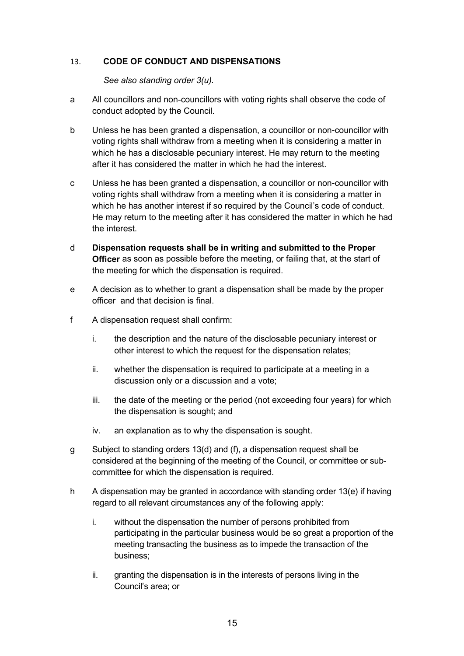#### <span id="page-14-0"></span>13. **CODE OF CONDUCT AND DISPENSATIONS**

*See also standing order 3(u).*

- a All councillors and non-councillors with voting rights shall observe the code of conduct adopted by the Council.
- b Unless he has been granted a dispensation, a councillor or non-councillor with voting rights shall withdraw from a meeting when it is considering a matter in which he has a disclosable pecuniary interest. He may return to the meeting after it has considered the matter in which he had the interest.
- c Unless he has been granted a dispensation, a councillor or non-councillor with voting rights shall withdraw from a meeting when it is considering a matter in which he has another interest if so required by the Council's code of conduct. He may return to the meeting after it has considered the matter in which he had the interest.
- d **Dispensation requests shall be in writing and submitted to the Proper Officer** as soon as possible before the meeting, or failing that, at the start of the meeting for which the dispensation is required.
- e A decision as to whether to grant a dispensation shall be made by the proper officer and that decision is final.
- f A dispensation request shall confirm:
	- i. the description and the nature of the disclosable pecuniary interest or other interest to which the request for the dispensation relates;
	- ii. whether the dispensation is required to participate at a meeting in a discussion only or a discussion and a vote;
	- iii. the date of the meeting or the period (not exceeding four years) for which the dispensation is sought; and
	- iv. an explanation as to why the dispensation is sought.
- g Subject to standing orders 13(d) and (f), a dispensation request shall be considered at the beginning of the meeting of the Council, or committee or subcommittee for which the dispensation is required.
- h A dispensation may be granted in accordance with standing order 13(e) if having regard to all relevant circumstances any of the following apply:
	- i. without the dispensation the number of persons prohibited from participating in the particular business would be so great a proportion of the meeting transacting the business as to impede the transaction of the business;
	- ii. granting the dispensation is in the interests of persons living in the Council's area; or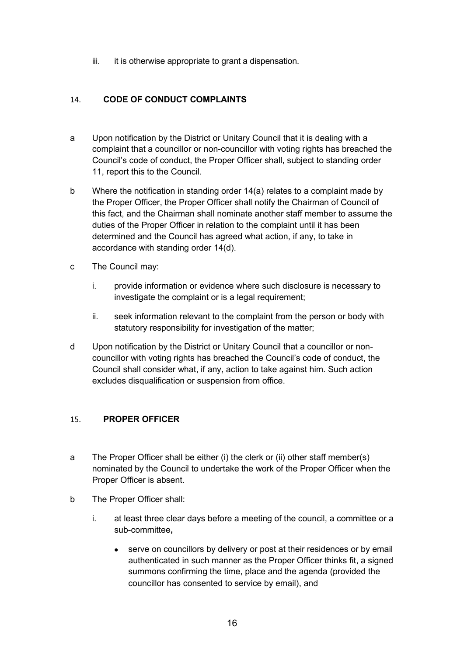iii. it is otherwise appropriate to grant a dispensation.

# <span id="page-15-0"></span>14. **CODE OF CONDUCT COMPLAINTS**

- a Upon notification by the District or Unitary Council that it is dealing with a complaint that a councillor or non-councillor with voting rights has breached the Council's code of conduct, the Proper Officer shall, subject to standing order 11, report this to the Council.
- b Where the notification in standing order 14(a) relates to a complaint made by the Proper Officer, the Proper Officer shall notify the Chairman of Council of this fact, and the Chairman shall nominate another staff member to assume the duties of the Proper Officer in relation to the complaint until it has been determined and the Council has agreed what action, if any, to take in accordance with standing order 14(d).
- c The Council may:
	- i. provide information or evidence where such disclosure is necessary to investigate the complaint or is a legal requirement;
	- ii. seek information relevant to the complaint from the person or body with statutory responsibility for investigation of the matter;
- d Upon notification by the District or Unitary Council that a councillor or noncouncillor with voting rights has breached the Council's code of conduct, the Council shall consider what, if any, action to take against him. Such action excludes disqualification or suspension from office.

# <span id="page-15-1"></span>15. **PROPER OFFICER**

- a The Proper Officer shall be either (i) the clerk or (ii) other staff member(s) nominated by the Council to undertake the work of the Proper Officer when the Proper Officer is absent.
- b The Proper Officer shall:
	- i. at least three clear days before a meeting of the council, a committee or a sub-committee**,**
		- serve on councillors by delivery or post at their residences or by email authenticated in such manner as the Proper Officer thinks fit, a signed summons confirming the time, place and the agenda (provided the councillor has consented to service by email), and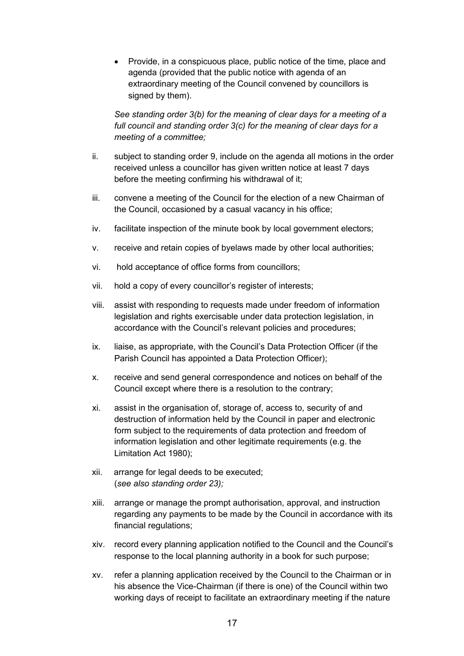• Provide, in a conspicuous place, public notice of the time, place and agenda (provided that the public notice with agenda of an extraordinary meeting of the Council convened by councillors is signed by them).

*See standing order 3(b) for the meaning of clear days for a meeting of a full council and standing order 3(c) for the meaning of clear days for a meeting of a committee;*

- ii. subject to standing order 9, include on the agenda all motions in the order received unless a councillor has given written notice at least 7 days before the meeting confirming his withdrawal of it;
- iii. convene a meeting of the Council for the election of a new Chairman of the Council, occasioned by a casual vacancy in his office;
- iv. facilitate inspection of the minute book by local government electors;
- v. receive and retain copies of byelaws made by other local authorities;
- vi. hold acceptance of office forms from councillors;
- vii. hold a copy of every councillor's register of interests;
- viii. assist with responding to requests made under freedom of information legislation and rights exercisable under data protection legislation, in accordance with the Council's relevant policies and procedures;
- ix. liaise, as appropriate, with the Council's Data Protection Officer (if the Parish Council has appointed a Data Protection Officer);
- x. receive and send general correspondence and notices on behalf of the Council except where there is a resolution to the contrary;
- xi. assist in the organisation of, storage of, access to, security of and destruction of information held by the Council in paper and electronic form subject to the requirements of data protection and freedom of information legislation and other legitimate requirements (e.g. the Limitation Act 1980);
- xii. arrange for legal deeds to be executed; (*see also standing order 23);*
- xiii. arrange or manage the prompt authorisation, approval, and instruction regarding any payments to be made by the Council in accordance with its financial regulations;
- xiv. record every planning application notified to the Council and the Council's response to the local planning authority in a book for such purpose;
- xv. refer a planning application received by the Council to the Chairman or in his absence the Vice-Chairman (if there is one) of the Council within two working days of receipt to facilitate an extraordinary meeting if the nature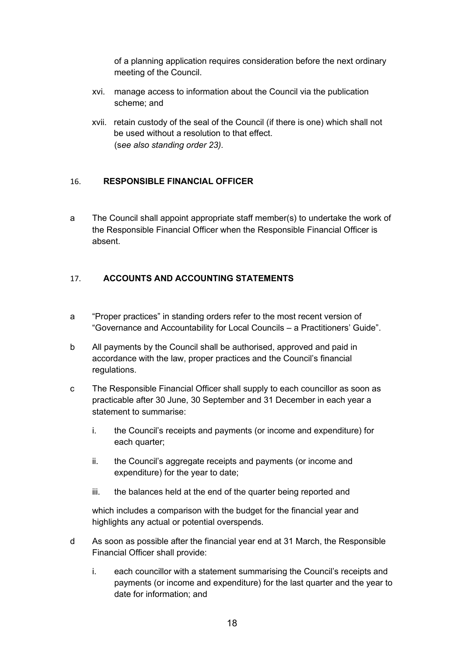of a planning application requires consideration before the next ordinary meeting of the Council.

- xvi. manage access to information about the Council via the publication scheme; and
- xvii. retain custody of the seal of the Council (if there is one) which shall not be used without a resolution to that effect. (s*ee also standing order 23).*

## <span id="page-17-0"></span>16. **RESPONSIBLE FINANCIAL OFFICER**

a The Council shall appoint appropriate staff member(s) to undertake the work of the Responsible Financial Officer when the Responsible Financial Officer is absent.

# <span id="page-17-1"></span>17. **ACCOUNTS AND ACCOUNTING STATEMENTS**

- a "Proper practices" in standing orders refer to the most recent version of "Governance and Accountability for Local Councils – a Practitioners' Guide".
- b All payments by the Council shall be authorised, approved and paid in accordance with the law, proper practices and the Council's financial regulations.
- c The Responsible Financial Officer shall supply to each councillor as soon as practicable after 30 June, 30 September and 31 December in each year a statement to summarise:
	- i. the Council's receipts and payments (or income and expenditure) for each quarter;
	- ii. the Council's aggregate receipts and payments (or income and expenditure) for the year to date;
	- iii. the balances held at the end of the quarter being reported and

which includes a comparison with the budget for the financial year and highlights any actual or potential overspends.

- d As soon as possible after the financial year end at 31 March, the Responsible Financial Officer shall provide:
	- i. each councillor with a statement summarising the Council's receipts and payments (or income and expenditure) for the last quarter and the year to date for information; and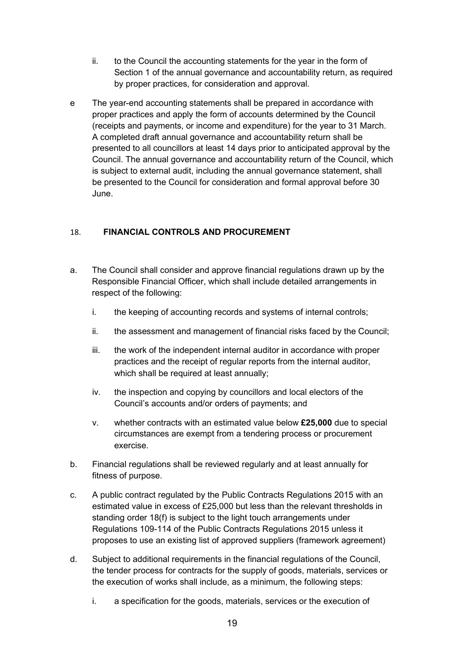- ii. to the Council the accounting statements for the year in the form of Section 1 of the annual governance and accountability return, as required by proper practices, for consideration and approval.
- e The year-end accounting statements shall be prepared in accordance with proper practices and apply the form of accounts determined by the Council (receipts and payments, or income and expenditure) for the year to 31 March. A completed draft annual governance and accountability return shall be presented to all councillors at least 14 days prior to anticipated approval by the Council. The annual governance and accountability return of the Council, which is subject to external audit, including the annual governance statement, shall be presented to the Council for consideration and formal approval before 30 June.

# <span id="page-18-0"></span>18. **FINANCIAL CONTROLS AND PROCUREMENT**

- a. The Council shall consider and approve financial regulations drawn up by the Responsible Financial Officer, which shall include detailed arrangements in respect of the following:
	- i. the keeping of accounting records and systems of internal controls;
	- ii. the assessment and management of financial risks faced by the Council;
	- iii. the work of the independent internal auditor in accordance with proper practices and the receipt of regular reports from the internal auditor, which shall be required at least annually;
	- iv. the inspection and copying by councillors and local electors of the Council's accounts and/or orders of payments; and
	- v. whether contracts with an estimated value below **£25,000** due to special circumstances are exempt from a tendering process or procurement exercise.
- b. Financial regulations shall be reviewed regularly and at least annually for fitness of purpose.
- c. A public contract regulated by the Public Contracts Regulations 2015 with an estimated value in excess of £25,000 but less than the relevant thresholds in standing order 18(f) is subject to the light touch arrangements under Regulations 109-114 of the Public Contracts Regulations 2015 unless it proposes to use an existing list of approved suppliers (framework agreement)
- d. Subject to additional requirements in the financial regulations of the Council, the tender process for contracts for the supply of goods, materials, services or the execution of works shall include, as a minimum, the following steps:
	- i. a specification for the goods, materials, services or the execution of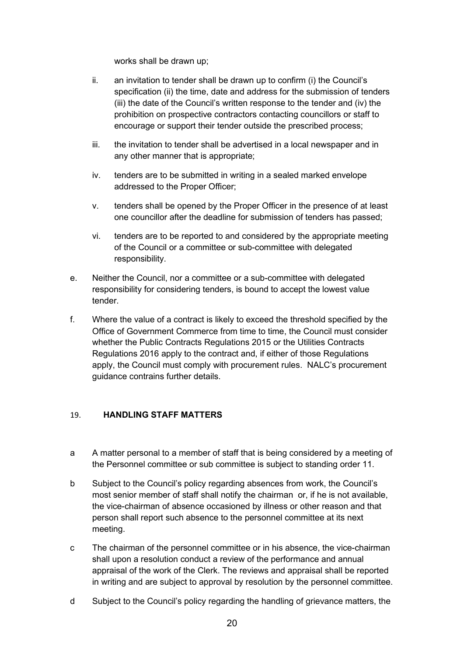works shall be drawn up;

- ii. an invitation to tender shall be drawn up to confirm (i) the Council's specification (ii) the time, date and address for the submission of tenders (iii) the date of the Council's written response to the tender and (iv) the prohibition on prospective contractors contacting councillors or staff to encourage or support their tender outside the prescribed process;
- iii. the invitation to tender shall be advertised in a local newspaper and in any other manner that is appropriate;
- iv. tenders are to be submitted in writing in a sealed marked envelope addressed to the Proper Officer;
- v. tenders shall be opened by the Proper Officer in the presence of at least one councillor after the deadline for submission of tenders has passed;
- vi. tenders are to be reported to and considered by the appropriate meeting of the Council or a committee or sub-committee with delegated responsibility.
- e. Neither the Council, nor a committee or a sub-committee with delegated responsibility for considering tenders, is bound to accept the lowest value tender.
- f. Where the value of a contract is likely to exceed the threshold specified by the Office of Government Commerce from time to time, the Council must consider whether the Public Contracts Regulations 2015 or the Utilities Contracts Regulations 2016 apply to the contract and, if either of those Regulations apply, the Council must comply with procurement rules. NALC's procurement guidance contrains further details.

#### <span id="page-19-0"></span>19. **HANDLING STAFF MATTERS**

- a A matter personal to a member of staff that is being considered by a meeting of the Personnel committee or sub committee is subject to standing order 11.
- b Subject to the Council's policy regarding absences from work, the Council's most senior member of staff shall notify the chairman or, if he is not available, the vice-chairman of absence occasioned by illness or other reason and that person shall report such absence to the personnel committee at its next meeting.
- c The chairman of the personnel committee or in his absence, the vice-chairman shall upon a resolution conduct a review of the performance and annual appraisal of the work of the Clerk. The reviews and appraisal shall be reported in writing and are subject to approval by resolution by the personnel committee.
- d Subject to the Council's policy regarding the handling of grievance matters, the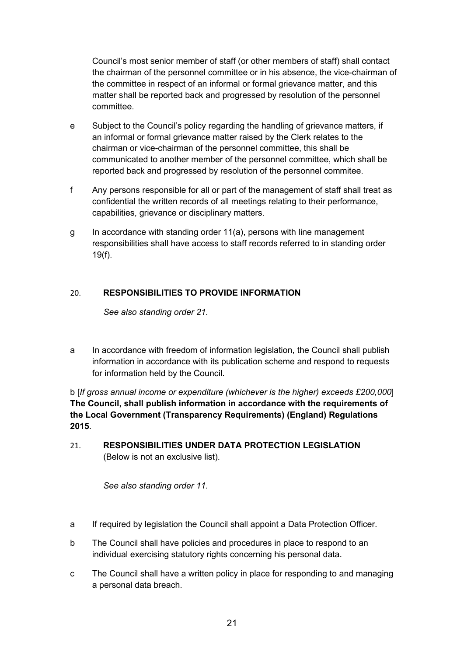Council's most senior member of staff (or other members of staff) shall contact the chairman of the personnel committee or in his absence, the vice-chairman of the committee in respect of an informal or formal grievance matter, and this matter shall be reported back and progressed by resolution of the personnel committee.

- e Subject to the Council's policy regarding the handling of grievance matters, if an informal or formal grievance matter raised by the Clerk relates to the chairman or vice-chairman of the personnel committee, this shall be communicated to another member of the personnel committee, which shall be reported back and progressed by resolution of the personnel commitee.
- f Any persons responsible for all or part of the management of staff shall treat as confidential the written records of all meetings relating to their performance, capabilities, grievance or disciplinary matters.
- g In accordance with standing order 11(a), persons with line management responsibilities shall have access to staff records referred to in standing order 19(f).

# <span id="page-20-0"></span>20. **RESPONSIBILITIES TO PROVIDE INFORMATION**

*See also standing order 21.*

a In accordance with freedom of information legislation, the Council shall publish information in accordance with its publication scheme and respond to requests for information held by the Council.

b [*If gross annual income or expenditure (whichever is the higher) exceeds £200,000*] **The Council, shall publish information in accordance with the requirements of the Local Government (Transparency Requirements) (England) Regulations 2015**.

<span id="page-20-1"></span>21. **RESPONSIBILITIES UNDER DATA PROTECTION LEGISLATION**  (Below is not an exclusive list).

*See also standing order 11.*

- a If required by legislation the Council shall appoint a Data Protection Officer.
- b The Council shall have policies and procedures in place to respond to an individual exercising statutory rights concerning his personal data.
- c The Council shall have a written policy in place for responding to and managing a personal data breach.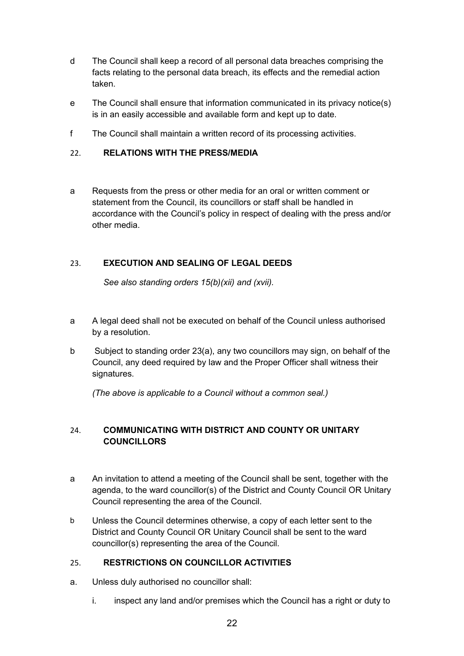- d The Council shall keep a record of all personal data breaches comprising the facts relating to the personal data breach, its effects and the remedial action taken.
- e The Council shall ensure that information communicated in its privacy notice(s) is in an easily accessible and available form and kept up to date.
- f The Council shall maintain a written record of its processing activities.

## <span id="page-21-0"></span>22. **RELATIONS WITH THE PRESS/MEDIA**

a Requests from the press or other media for an oral or written comment or statement from the Council, its councillors or staff shall be handled in accordance with the Council's policy in respect of dealing with the press and/or other media.

## <span id="page-21-1"></span>23. **EXECUTION AND SEALING OF LEGAL DEEDS**

*See also standing orders 15(b)(xii) and (xvii).*

- a A legal deed shall not be executed on behalf of the Council unless authorised by a resolution.
- b Subject to standing order 23(a), any two councillors may sign, on behalf of the Council, any deed required by law and the Proper Officer shall witness their signatures.

*(The above is applicable to a Council without a common seal.)*

# <span id="page-21-2"></span>24. **COMMUNICATING WITH DISTRICT AND COUNTY OR UNITARY COUNCILLORS**

- a An invitation to attend a meeting of the Council shall be sent, together with the agenda, to the ward councillor(s) of the District and County Council OR Unitary Council representing the area of the Council.
- b Unless the Council determines otherwise, a copy of each letter sent to the District and County Council OR Unitary Council shall be sent to the ward councillor(s) representing the area of the Council.

#### <span id="page-21-3"></span>25. **RESTRICTIONS ON COUNCILLOR ACTIVITIES**

- a. Unless duly authorised no councillor shall:
	- i. inspect any land and/or premises which the Council has a right or duty to